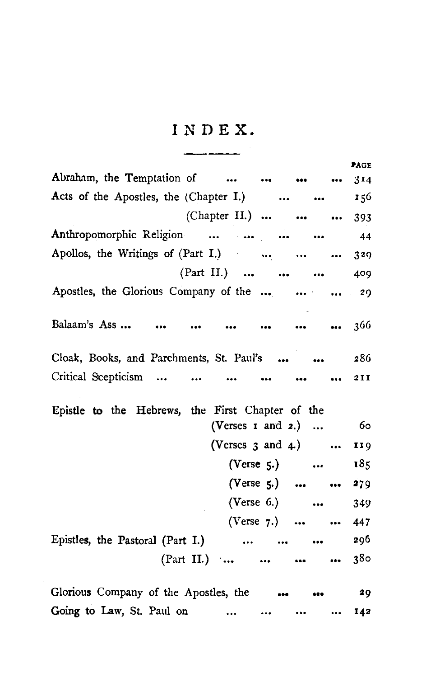## **INDEX.**

\_\_\_\_\_\_\_\_

|                                                                                                                       | <b>PAGE</b>     |
|-----------------------------------------------------------------------------------------------------------------------|-----------------|
| Abraham, the Temptation of                                                                                            | 3 <sub>14</sub> |
| Acts of the Apostles, the (Chapter I.)<br>$\bullet$                                                                   | 156             |
| (Chapter II.)                                                                                                         | 393             |
| Anthropomorphic Religion<br>$\ddotsc$                                                                                 | 44              |
| Apollos, the Writings of (Part I.)<br>$\ddotsc$<br>$\cdots$                                                           | 329             |
| $(Part II.)$                                                                                                          | 409             |
| Apostles, the Glorious Company of the    29                                                                           |                 |
| Balaam's Ass<br>$\sim$ $\sim$ $\sim$ $\sim$ $\sim$<br>$\bullet \bullet \bullet \qquad \bullet \bullet \bullet \qquad$ | 366             |
| Cloak, Books, and Parchments, St. Paul's                                                                              | 286             |
| Critical Scepticism<br>$\cdots$ $\cdots$                                                                              | 2 I I           |
| Epistle to the Hebrews, the First Chapter of the                                                                      |                 |
| (Verses $\mathbf{r}$ and $\mathbf{z}$ .)                                                                              | 60              |
| (Verses $3$ and $4$ .)                                                                                                | 119             |
| $(Verse 5.)$                                                                                                          | 185             |
| (Verse 5.)                                                                                                            | 279             |
| (Verse 6.)                                                                                                            | 349             |
| (Verse 7.)<br>$\cdots$                                                                                                | 447             |
| Epistles, the Pastoral (Part I.)                                                                                      | 296             |
| (Part II.)<br>$\bullet \bullet \bullet$                                                                               | 380             |
|                                                                                                                       |                 |
| Glorious Company of the Apostles, the                                                                                 | 29              |
| Going to Law, St. Paul on<br>$\bullet\bullet\bullet$<br>$\cdots$<br>$\cdots$                                          | 142             |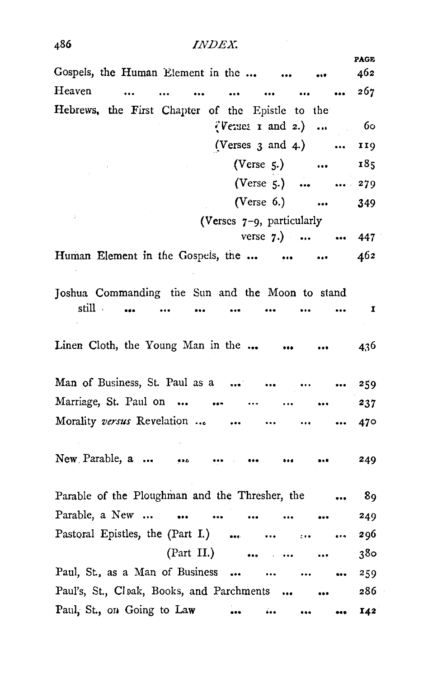## *INDEX.*

| Gospels, the Human Element in the                                                                                                                                                                                                                                                                                                                                          | <b>PAGE</b><br>462 |
|----------------------------------------------------------------------------------------------------------------------------------------------------------------------------------------------------------------------------------------------------------------------------------------------------------------------------------------------------------------------------|--------------------|
| Heaven<br>$\ddotsc$<br>$\ddotsc$<br>$\ddotsc$<br>$\ddotsc$                                                                                                                                                                                                                                                                                                                 | 267                |
| Hebrews, the First Chapter of the Epistle to the                                                                                                                                                                                                                                                                                                                           |                    |
| $\sqrt[n]{}$ $\sqrt[n]{}$ $\sqrt[n]{}$ $\sqrt[n]{}$ $\sqrt[n]{}$ $\sqrt[n]{}$ $\sqrt[n]{}$ $\sqrt[n]{}$ $\sqrt[n]{}$ $\sqrt[n]{}$ $\sqrt[n]{}$ $\sqrt[n]{}$ $\sqrt[n]{}$ $\sqrt[n]{}$ $\sqrt[n]{}$ $\sqrt[n]{}$ $\sqrt[n]{}$ $\sqrt[n]{}$ $\sqrt[n]{}$ $\sqrt[n]{}$ $\sqrt[n]{}$ $\sqrt[n]{}$ $\sqrt[n]{}$ $\sqrt[n]{}$ $\sqrt[n]{}$ $\sqrt[n]{}$ $\sqrt[n]{}$ $\sqrt[n]{$ | - 60               |
| (Verses $3$ and $4$ .)<br>$\cdots$                                                                                                                                                                                                                                                                                                                                         | 119                |
| (Verse 5.)                                                                                                                                                                                                                                                                                                                                                                 | 185                |
| $(Verse 5.)$<br>$\cdots$                                                                                                                                                                                                                                                                                                                                                   | 279                |
| (Verse $6.$ )<br>$\sim$ $\sim$                                                                                                                                                                                                                                                                                                                                             | 349                |
| (Verses 7-9, particularly                                                                                                                                                                                                                                                                                                                                                  |                    |
| verse $7.)$<br>$\cdots$                                                                                                                                                                                                                                                                                                                                                    | 447                |
| Human Element in the Gospels, the<br>$\cdots$<br>$\cdots$                                                                                                                                                                                                                                                                                                                  | 462.               |
|                                                                                                                                                                                                                                                                                                                                                                            |                    |
| Joshua Commanding the Sun and the Moon to stand                                                                                                                                                                                                                                                                                                                            |                    |
| still                                                                                                                                                                                                                                                                                                                                                                      | I                  |
|                                                                                                                                                                                                                                                                                                                                                                            |                    |
| Linen Cloth, the Young Man in the                                                                                                                                                                                                                                                                                                                                          | 436                |
|                                                                                                                                                                                                                                                                                                                                                                            |                    |
| Man of Business, St. Paul as a<br>$\ddotsc$                                                                                                                                                                                                                                                                                                                                | 259                |
| Marriage, St. Paul on<br>$\cdots$                                                                                                                                                                                                                                                                                                                                          | 237                |
| Morality versus Revelation                                                                                                                                                                                                                                                                                                                                                 | 470                |
|                                                                                                                                                                                                                                                                                                                                                                            |                    |
| New Parable, a<br>                                                                                                                                                                                                                                                                                                                                                         | 249                |
|                                                                                                                                                                                                                                                                                                                                                                            |                    |
| Parable of the Ploughman and the Thresher, the                                                                                                                                                                                                                                                                                                                             | 89                 |
| Parable, a New<br>$\ddotsc$                                                                                                                                                                                                                                                                                                                                                | 249                |
| Pastoral Epistles, the (Part I.)<br>$\cdots$<br>$\sim$ $\sim$ $\sim$ $\sim$                                                                                                                                                                                                                                                                                                | 296                |
| $(Part II.)$                                                                                                                                                                                                                                                                                                                                                               | 380                |
| Paul, St., as a Man of Business<br>                                                                                                                                                                                                                                                                                                                                        | 259                |
| Paul's, St., Cloak, Books, and Parchments                                                                                                                                                                                                                                                                                                                                  | 286                |
| Paul, St., on Going to Law<br>i.<br>$\sim$ 0.000 $\sim$                                                                                                                                                                                                                                                                                                                    | 142                |

486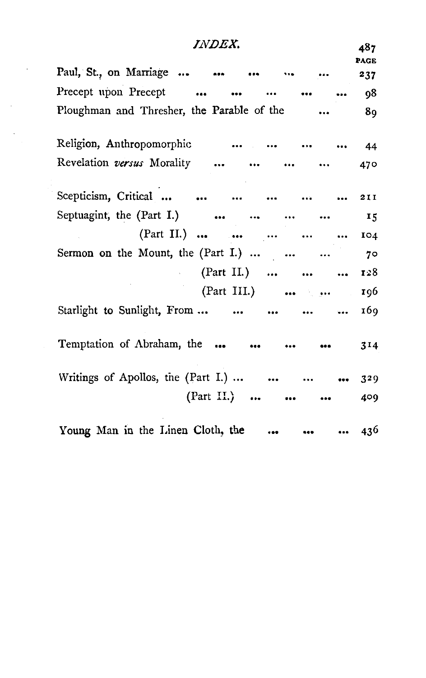| <i>INDEX.</i>                                                     | 487.<br><b>PAGE</b> |
|-------------------------------------------------------------------|---------------------|
| Paul, St., on Marriage<br>$\bullet$ . The $\bullet$ and $\bullet$ | 237                 |
| Precept upon Precept<br>$\ddot{\phantom{a}}$                      | 98                  |
| Ploughman and Thresher, the Parable of the                        | 89                  |
| Religion, Anthropomorphic                                         | 44                  |
| Revelation versus Morality                                        | 470                 |
| Scepticism, Critical<br>and the same                              | 211                 |
| Septuagint, the (Part I.)                                         | 15                  |
| (Part II.)                                                        | IO4                 |
| Sermon on the Mount, the (Part I.)                                | 70                  |
| (Part II.)                                                        | 128                 |
| (Part III.) $\cdots$ $\cdots$                                     | 196                 |
| Starlight to Sunlight, From<br>$\sim$ 100 $\sim$ 100 $\sim$       | 169                 |
| Temptation of Abraham, the                                        | 314                 |
| Writings of Apollos, the (Part I.)<br>                            | 329                 |
| $(Part II.)$                                                      | 409                 |
| Young Man in the Linen Cloth, the                                 | 436                 |